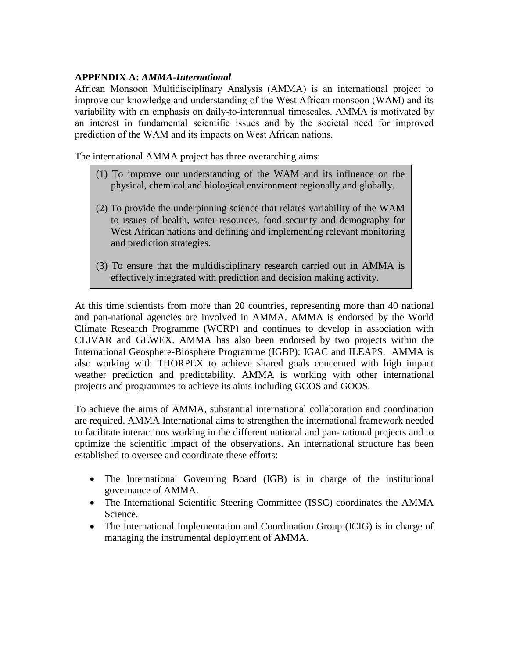# **APPENDIX A:** *AMMA-International*

African Monsoon Multidisciplinary Analysis (AMMA) is an international project to improve our knowledge and understanding of the West African monsoon (WAM) and its variability with an emphasis on daily-to-interannual timescales. AMMA is motivated by an interest in fundamental scientific issues and by the societal need for improved prediction of the WAM and its impacts on West African nations.

The international AMMA project has three overarching aims:

- (1) To improve our understanding of the WAM and its influence on the physical, chemical and biological environment regionally and globally.
- (2) To provide the underpinning science that relates variability of the WAM to issues of health, water resources, food security and demography for West African nations and defining and implementing relevant monitoring and prediction strategies.
- (3) To ensure that the multidisciplinary research carried out in AMMA is effectively integrated with prediction and decision making activity.

At this time scientists from more than 20 countries, representing more than 40 national and pan-national agencies are involved in AMMA. AMMA is endorsed by the World Climate Research Programme (WCRP) and continues to develop in association with CLIVAR and GEWEX. AMMA has also been endorsed by two projects within the International Geosphere-Biosphere Programme (IGBP): IGAC and ILEAPS. AMMA is also working with THORPEX to achieve shared goals concerned with high impact weather prediction and predictability. AMMA is working with other international projects and programmes to achieve its aims including GCOS and GOOS.

To achieve the aims of AMMA, substantial international collaboration and coordination are required. AMMA International aims to strengthen the international framework needed to facilitate interactions working in the different national and pan-national projects and to optimize the scientific impact of the observations. An international structure has been established to oversee and coordinate these efforts:

- The International Governing Board (IGB) is in charge of the institutional governance of AMMA.
- The International Scientific Steering Committee (ISSC) coordinates the AMMA Science.
- The International Implementation and Coordination Group (ICIG) is in charge of managing the instrumental deployment of AMMA.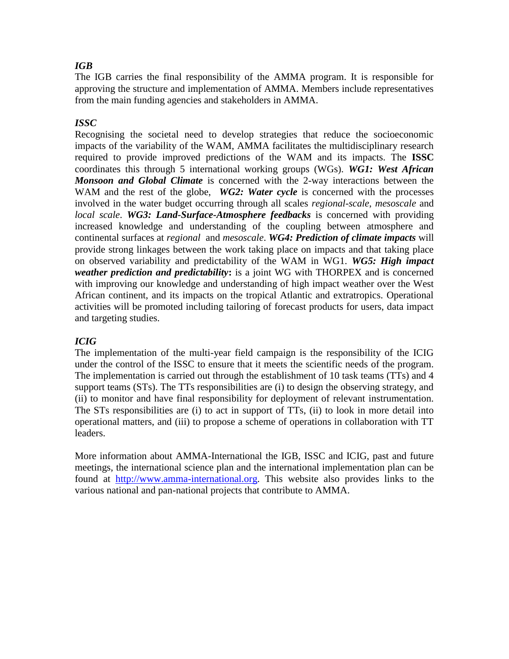# *IGB*

The IGB carries the final responsibility of the AMMA program. It is responsible for approving the structure and implementation of AMMA. Members include representatives from the main funding agencies and stakeholders in AMMA.

# *ISSC*

Recognising the societal need to develop strategies that reduce the socioeconomic impacts of the variability of the WAM, AMMA facilitates the multidisciplinary research required to provide improved predictions of the WAM and its impacts. The **ISSC** coordinates this through 5 international working groups (WGs). *WG1: West African Monsoon and Global Climate* is concerned with the 2-way interactions between the WAM and the rest of the globe, *WG2: Water cycle* is concerned with the processes involved in the water budget occurring through all scales *regional-scale*, *mesoscale* and *local scale*. *WG3: Land-Surface-Atmosphere feedbacks* is concerned with providing increased knowledge and understanding of the coupling between atmosphere and continental surfaces at *regional* and *mesoscale*. *WG4: Prediction of climate impacts* will provide strong linkages between the work taking place on impacts and that taking place on observed variability and predictability of the WAM in WG1. *WG5: High impact weather prediction and predictability***:** is a joint WG with THORPEX and is concerned with improving our knowledge and understanding of high impact weather over the West African continent, and its impacts on the tropical Atlantic and extratropics. Operational activities will be promoted including tailoring of forecast products for users, data impact and targeting studies.

# *ICIG*

The implementation of the multi-year field campaign is the responsibility of the ICIG under the control of the ISSC to ensure that it meets the scientific needs of the program. The implementation is carried out through the establishment of 10 task teams (TTs) and 4 support teams (STs). The TTs responsibilities are (i) to design the observing strategy, and (ii) to monitor and have final responsibility for deployment of relevant instrumentation. The STs responsibilities are (i) to act in support of TTs, (ii) to look in more detail into operational matters, and (iii) to propose a scheme of operations in collaboration with TT leaders.

More information about AMMA-International the IGB, ISSC and ICIG, past and future meetings, the international science plan and the international implementation plan can be found at [http://www.amma-international.org.](http://www.amma-international.org/) This website also provides links to the various national and pan-national projects that contribute to AMMA.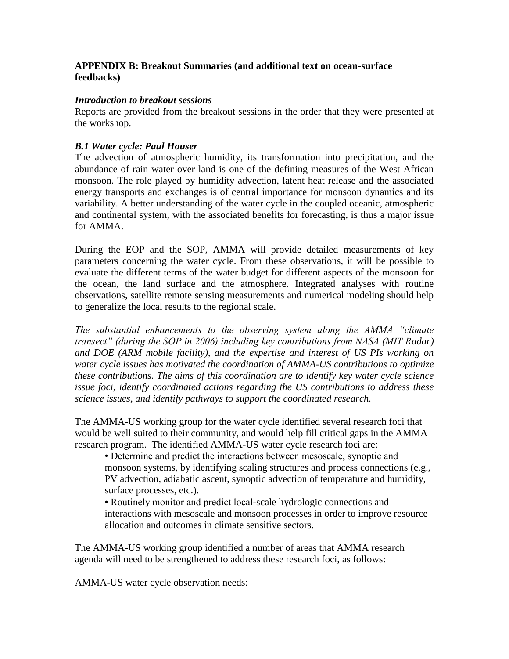## **APPENDIX B: Breakout Summaries (and additional text on ocean-surface feedbacks)**

## *Introduction to breakout sessions*

Reports are provided from the breakout sessions in the order that they were presented at the workshop.

## *B.1 Water cycle: Paul Houser*

The advection of atmospheric humidity, its transformation into precipitation, and the abundance of rain water over land is one of the defining measures of the West African monsoon. The role played by humidity advection, latent heat release and the associated energy transports and exchanges is of central importance for monsoon dynamics and its variability. A better understanding of the water cycle in the coupled oceanic, atmospheric and continental system, with the associated benefits for forecasting, is thus a major issue for AMMA.

During the EOP and the SOP, AMMA will provide detailed measurements of key parameters concerning the water cycle. From these observations, it will be possible to evaluate the different terms of the water budget for different aspects of the monsoon for the ocean, the land surface and the atmosphere. Integrated analyses with routine observations, satellite remote sensing measurements and numerical modeling should help to generalize the local results to the regional scale.

*The substantial enhancements to the observing system along the AMMA "climate transect" (during the SOP in 2006) including key contributions from NASA (MIT Radar) and DOE (ARM mobile facility), and the expertise and interest of US PIs working on water cycle issues has motivated the coordination of AMMA-US contributions to optimize these contributions. The aims of this coordination are to identify key water cycle science issue foci, identify coordinated actions regarding the US contributions to address these science issues, and identify pathways to support the coordinated research.*

The AMMA-US working group for the water cycle identified several research foci that would be well suited to their community, and would help fill critical gaps in the AMMA research program. The identified AMMA-US water cycle research foci are:

• Determine and predict the interactions between mesoscale, synoptic and monsoon systems, by identifying scaling structures and process connections (e.g., PV advection, adiabatic ascent, synoptic advection of temperature and humidity, surface processes, etc.).

• Routinely monitor and predict local-scale hydrologic connections and interactions with mesoscale and monsoon processes in order to improve resource allocation and outcomes in climate sensitive sectors.

The AMMA-US working group identified a number of areas that AMMA research agenda will need to be strengthened to address these research foci, as follows:

AMMA-US water cycle observation needs: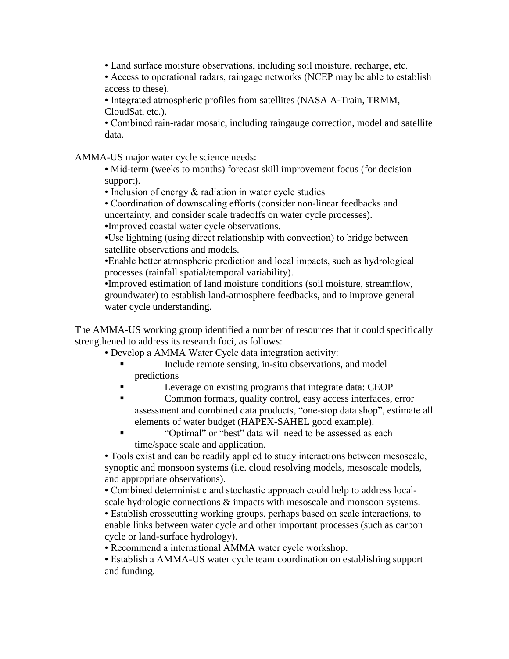• Land surface moisture observations, including soil moisture, recharge, etc.

• Access to operational radars, raingage networks (NCEP may be able to establish access to these).

• Integrated atmospheric profiles from satellites (NASA A-Train, TRMM, CloudSat, etc.).

• Combined rain-radar mosaic, including raingauge correction, model and satellite data.

AMMA-US major water cycle science needs:

• Mid-term (weeks to months) forecast skill improvement focus (for decision support).

• Inclusion of energy  $&$  radiation in water cycle studies

• Coordination of downscaling efforts (consider non-linear feedbacks and uncertainty, and consider scale tradeoffs on water cycle processes).

•Improved coastal water cycle observations.

•Use lightning (using direct relationship with convection) to bridge between satellite observations and models.

•Enable better atmospheric prediction and local impacts, such as hydrological processes (rainfall spatial/temporal variability).

•Improved estimation of land moisture conditions (soil moisture, streamflow, groundwater) to establish land-atmosphere feedbacks, and to improve general water cycle understanding.

The AMMA-US working group identified a number of resources that it could specifically strengthened to address its research foci, as follows:

- Develop a AMMA Water Cycle data integration activity:
	- Include remote sensing, in-situ observations, and model predictions
	- Leverage on existing programs that integrate data: CEOP
	- Common formats, quality control, easy access interfaces, error assessment and combined data products, "one-stop data shop", estimate all elements of water budget (HAPEX-SAHEL good example).
	- "Optimal" or "best" data will need to be assessed as each time/space scale and application.

• Tools exist and can be readily applied to study interactions between mesoscale, synoptic and monsoon systems (i.e. cloud resolving models, mesoscale models, and appropriate observations).

• Combined deterministic and stochastic approach could help to address localscale hydrologic connections  $\&$  impacts with mesoscale and monsoon systems.

• Establish crosscutting working groups, perhaps based on scale interactions, to enable links between water cycle and other important processes (such as carbon cycle or land-surface hydrology).

• Recommend a international AMMA water cycle workshop.

• Establish a AMMA-US water cycle team coordination on establishing support and funding.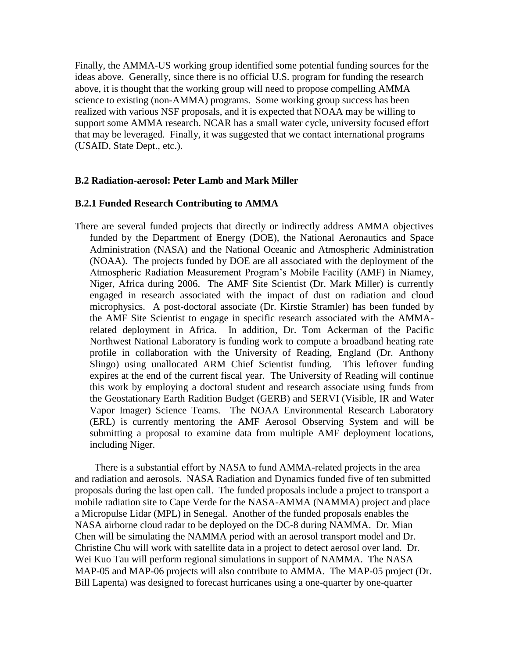Finally, the AMMA-US working group identified some potential funding sources for the ideas above. Generally, since there is no official U.S. program for funding the research above, it is thought that the working group will need to propose compelling AMMA science to existing (non-AMMA) programs. Some working group success has been realized with various NSF proposals, and it is expected that NOAA may be willing to support some AMMA research. NCAR has a small water cycle, university focused effort that may be leveraged. Finally, it was suggested that we contact international programs (USAID, State Dept., etc.).

## **B.2 Radiation-aerosol: Peter Lamb and Mark Miller**

#### **B.2.1 Funded Research Contributing to AMMA**

There are several funded projects that directly or indirectly address AMMA objectives funded by the Department of Energy (DOE), the National Aeronautics and Space Administration (NASA) and the National Oceanic and Atmospheric Administration (NOAA). The projects funded by DOE are all associated with the deployment of the Atmospheric Radiation Measurement Program's Mobile Facility (AMF) in Niamey, Niger, Africa during 2006. The AMF Site Scientist (Dr. Mark Miller) is currently engaged in research associated with the impact of dust on radiation and cloud microphysics. A post-doctoral associate (Dr. Kirstie Stramler) has been funded by the AMF Site Scientist to engage in specific research associated with the AMMArelated deployment in Africa. In addition, Dr. Tom Ackerman of the Pacific Northwest National Laboratory is funding work to compute a broadband heating rate profile in collaboration with the University of Reading, England (Dr. Anthony Slingo) using unallocated ARM Chief Scientist funding. This leftover funding expires at the end of the current fiscal year. The University of Reading will continue this work by employing a doctoral student and research associate using funds from the Geostationary Earth Radition Budget (GERB) and SERVI (Visible, IR and Water Vapor Imager) Science Teams. The NOAA Environmental Research Laboratory (ERL) is currently mentoring the AMF Aerosol Observing System and will be submitting a proposal to examine data from multiple AMF deployment locations, including Niger.

 There is a substantial effort by NASA to fund AMMA-related projects in the area and radiation and aerosols. NASA Radiation and Dynamics funded five of ten submitted proposals during the last open call. The funded proposals include a project to transport a mobile radiation site to Cape Verde for the NASA-AMMA (NAMMA) project and place a Micropulse Lidar (MPL) in Senegal. Another of the funded proposals enables the NASA airborne cloud radar to be deployed on the DC-8 during NAMMA. Dr. Mian Chen will be simulating the NAMMA period with an aerosol transport model and Dr. Christine Chu will work with satellite data in a project to detect aerosol over land. Dr. Wei Kuo Tau will perform regional simulations in support of NAMMA. The NASA MAP-05 and MAP-06 projects will also contribute to AMMA. The MAP-05 project (Dr. Bill Lapenta) was designed to forecast hurricanes using a one-quarter by one-quarter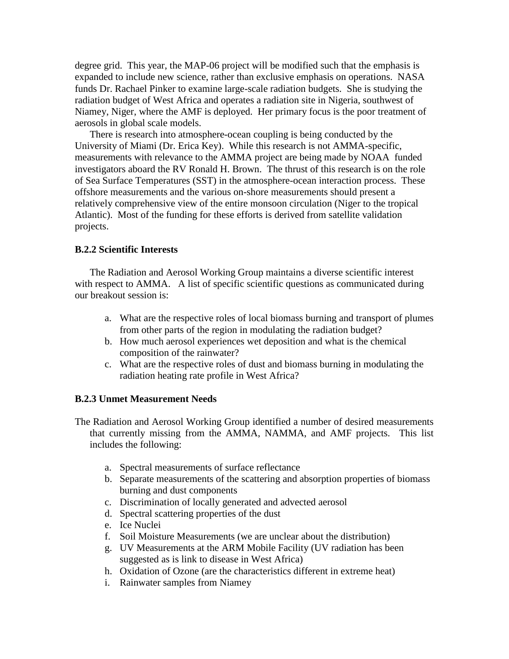degree grid. This year, the MAP-06 project will be modified such that the emphasis is expanded to include new science, rather than exclusive emphasis on operations. NASA funds Dr. Rachael Pinker to examine large-scale radiation budgets. She is studying the radiation budget of West Africa and operates a radiation site in Nigeria, southwest of Niamey, Niger, where the AMF is deployed. Her primary focus is the poor treatment of aerosols in global scale models.

There is research into atmosphere-ocean coupling is being conducted by the University of Miami (Dr. Erica Key). While this research is not AMMA-specific, measurements with relevance to the AMMA project are being made by NOAA funded investigators aboard the RV Ronald H. Brown. The thrust of this research is on the role of Sea Surface Temperatures (SST) in the atmosphere-ocean interaction process. These offshore measurements and the various on-shore measurements should present a relatively comprehensive view of the entire monsoon circulation (Niger to the tropical Atlantic). Most of the funding for these efforts is derived from satellite validation projects.

#### **B.2.2 Scientific Interests**

The Radiation and Aerosol Working Group maintains a diverse scientific interest with respect to AMMA. A list of specific scientific questions as communicated during our breakout session is:

- a. What are the respective roles of local biomass burning and transport of plumes from other parts of the region in modulating the radiation budget?
- b. How much aerosol experiences wet deposition and what is the chemical composition of the rainwater?
- c. What are the respective roles of dust and biomass burning in modulating the radiation heating rate profile in West Africa?

#### **B.2.3 Unmet Measurement Needs**

- The Radiation and Aerosol Working Group identified a number of desired measurements that currently missing from the AMMA, NAMMA, and AMF projects. This list includes the following:
	- a. Spectral measurements of surface reflectance
	- b. Separate measurements of the scattering and absorption properties of biomass burning and dust components
	- c. Discrimination of locally generated and advected aerosol
	- d. Spectral scattering properties of the dust
	- e. Ice Nuclei
	- f. Soil Moisture Measurements (we are unclear about the distribution)
	- g. UV Measurements at the ARM Mobile Facility (UV radiation has been suggested as is link to disease in West Africa)
	- h. Oxidation of Ozone (are the characteristics different in extreme heat)
	- i. Rainwater samples from Niamey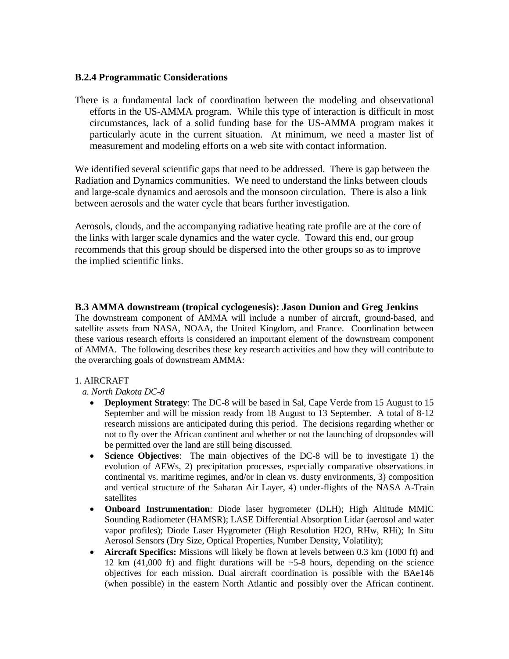## **B.2.4 Programmatic Considerations**

There is a fundamental lack of coordination between the modeling and observational efforts in the US-AMMA program. While this type of interaction is difficult in most circumstances, lack of a solid funding base for the US-AMMA program makes it particularly acute in the current situation. At minimum, we need a master list of measurement and modeling efforts on a web site with contact information.

We identified several scientific gaps that need to be addressed. There is gap between the Radiation and Dynamics communities. We need to understand the links between clouds and large-scale dynamics and aerosols and the monsoon circulation. There is also a link between aerosols and the water cycle that bears further investigation.

Aerosols, clouds, and the accompanying radiative heating rate profile are at the core of the links with larger scale dynamics and the water cycle. Toward this end, our group recommends that this group should be dispersed into the other groups so as to improve the implied scientific links.

## **B.3 AMMA downstream (tropical cyclogenesis): Jason Dunion and Greg Jenkins**

The downstream component of AMMA will include a number of aircraft, ground-based, and satellite assets from NASA, NOAA, the United Kingdom, and France. Coordination between these various research efforts is considered an important element of the downstream component of AMMA. The following describes these key research activities and how they will contribute to the overarching goals of downstream AMMA:

#### 1. AIRCRAFT

#### *a. North Dakota DC-8*

- **Deployment Strategy**: The DC-8 will be based in Sal, Cape Verde from 15 August to 15 September and will be mission ready from 18 August to 13 September. A total of 8-12 research missions are anticipated during this period. The decisions regarding whether or not to fly over the African continent and whether or not the launching of dropsondes will be permitted over the land are still being discussed.
- **Science Objectives**: The main objectives of the DC-8 will be to investigate 1) the evolution of AEWs, 2) precipitation processes, especially comparative observations in continental vs. maritime regimes, and/or in clean vs. dusty environments, 3) composition and vertical structure of the Saharan Air Layer, 4) under-flights of the NASA A-Train satellites
- **Onboard Instrumentation**: Diode laser hygrometer (DLH); High Altitude MMIC Sounding Radiometer (HAMSR); LASE Differential Absorption Lidar (aerosol and water vapor profiles); Diode Laser Hygrometer (High Resolution H2O, RHw, RHi); In Situ Aerosol Sensors (Dry Size, Optical Properties, Number Density, Volatility);
- **Aircraft Specifics:** Missions will likely be flown at levels between 0.3 km (1000 ft) and 12 km (41,000 ft) and flight durations will be  $\sim$  5-8 hours, depending on the science objectives for each mission. Dual aircraft coordination is possible with the BAe146 (when possible) in the eastern North Atlantic and possibly over the African continent.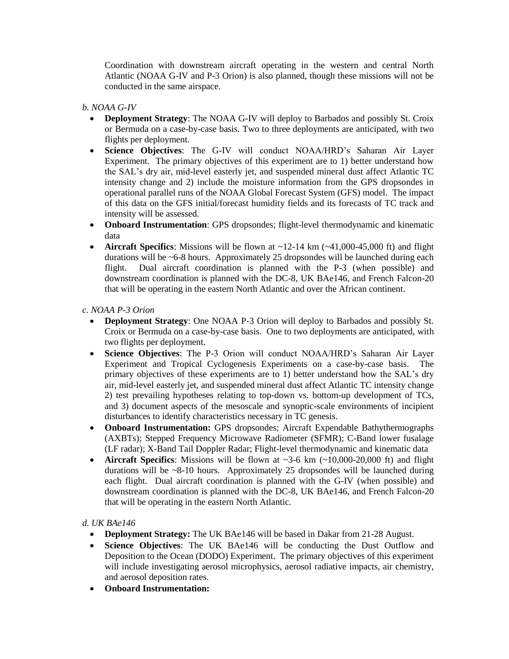Coordination with downstream aircraft operating in the western and central North Atlantic (NOAA G-IV and P-3 Orion) is also planned, though these missions will not be conducted in the same airspace.

#### *b. NOAA G-IV*

- **Deployment Strategy**: The NOAA G-IV will deploy to Barbados and possibly St. Croix or Bermuda on a case-by-case basis. Two to three deployments are anticipated, with two flights per deployment.
- **Science Objectives**: The G-IV will conduct NOAA/HRD's Saharan Air Layer Experiment. The primary objectives of this experiment are to 1) better understand how the SAL's dry air, mid-level easterly jet, and suspended mineral dust affect Atlantic TC intensity change and 2) include the moisture information from the GPS dropsondes in operational parallel runs of the NOAA Global Forecast System (GFS) model. The impact of this data on the GFS initial/forecast humidity fields and its forecasts of TC track and intensity will be assessed.
- **Onboard Instrumentation**: GPS dropsondes; flight-level thermodynamic and kinematic data
- **Aircraft Specifics**: Missions will be flown at ~12-14 km (~41,000-45,000 ft) and flight durations will be ~6-8 hours. Approximately 25 dropsondes will be launched during each flight. Dual aircraft coordination is planned with the P-3 (when possible) and downstream coordination is planned with the DC-8, UK BAe146, and French Falcon-20 that will be operating in the eastern North Atlantic and over the African continent.

*c. NOAA P-3 Orion*

- **Deployment Strategy**: One NOAA P-3 Orion will deploy to Barbados and possibly St. Croix or Bermuda on a case-by-case basis. One to two deployments are anticipated, with two flights per deployment.
- **Science Objectives**: The P-3 Orion will conduct NOAA/HRD's Saharan Air Layer Experiment and Tropical Cyclogenesis Experiments on a case-by-case basis. The primary objectives of these experiments are to 1) better understand how the SAL's dry air, mid-level easterly jet, and suspended mineral dust affect Atlantic TC intensity change 2) test prevailing hypotheses relating to top-down vs. bottom-up development of TCs, and 3) document aspects of the mesoscale and synoptic-scale environments of incipient disturbances to identify characteristics necessary in TC genesis.
- **Onboard Instrumentation:** GPS dropsondes; Aircraft Expendable Bathythermographs (AXBTs); Stepped Frequency Microwave Radiometer (SFMR); C-Band lower fusalage (LF radar); X-Band Tail Doppler Radar; Flight-level thermodynamic and kinematic data
- **Aircraft Specifics**: Missions will be flown at  $\sim$ 3-6 km  $(\sim$ 10,000-20,000 ft) and flight durations will be ~8-10 hours. Approximately 25 dropsondes will be launched during each flight. Dual aircraft coordination is planned with the G-IV (when possible) and downstream coordination is planned with the DC-8, UK BAe146, and French Falcon-20 that will be operating in the eastern North Atlantic.

#### *d. UK BAe146*

- **Deployment Strategy:** The UK BAe146 will be based in Dakar from 21-28 August.
- **Science Objectives**: The UK BAe146 will be conducting the Dust Outflow and Deposition to the Ocean (DODO) Experiment. The primary objectives of this experiment will include investigating aerosol microphysics, aerosol radiative impacts, air chemistry, and aerosol deposition rates.
- **Onboard Instrumentation:**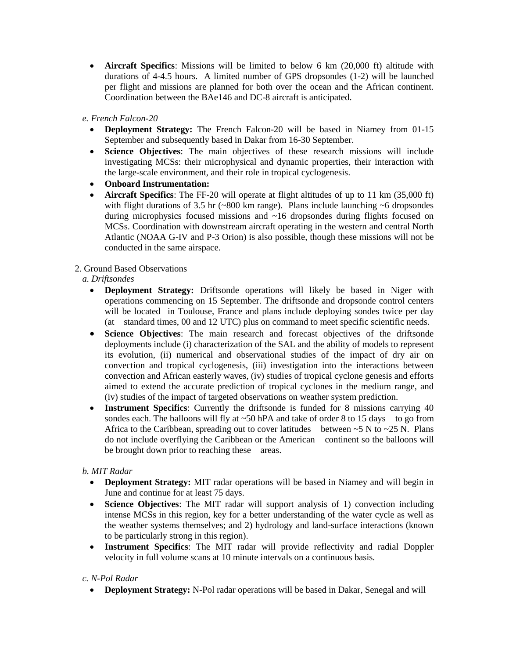**Aircraft Specifics**: Missions will be limited to below 6 km (20,000 ft) altitude with durations of 4-4.5 hours. A limited number of GPS dropsondes (1-2) will be launched per flight and missions are planned for both over the ocean and the African continent. Coordination between the BAe146 and DC-8 aircraft is anticipated.

*e. French Falcon-20*

- **Deployment Strategy:** The French Falcon-20 will be based in Niamey from 01-15 September and subsequently based in Dakar from 16-30 September.
- **Science Objectives**: The main objectives of these research missions will include investigating MCSs: their microphysical and dynamic properties, their interaction with the large-scale environment, and their role in tropical cyclogenesis.
- **Onboard Instrumentation:**
- **Aircraft Specifics**: The FF-20 will operate at flight altitudes of up to 11 km (35,000 ft) with flight durations of 3.5 hr  $(*800 \text{ km range})$ . Plans include launching  $*6$  dropsondes during microphysics focused missions and ~16 dropsondes during flights focused on MCSs. Coordination with downstream aircraft operating in the western and central North Atlantic (NOAA G-IV and P-3 Orion) is also possible, though these missions will not be conducted in the same airspace.

## 2. Ground Based Observations

## *a. Driftsondes*

- **Deployment Strategy:** Driftsonde operations will likely be based in Niger with operations commencing on 15 September. The driftsonde and dropsonde control centers will be located in Toulouse, France and plans include deploying sondes twice per day (at standard times, 00 and 12 UTC) plus on command to meet specific scientific needs.
- **Science Objectives**: The main research and forecast objectives of the driftsonde deployments include (i) characterization of the SAL and the ability of models to represent its evolution, (ii) numerical and observational studies of the impact of dry air on convection and tropical cyclogenesis, (iii) investigation into the interactions between convection and African easterly waves, (iv) studies of tropical cyclone genesis and efforts aimed to extend the accurate prediction of tropical cyclones in the medium range, and (iv) studies of the impact of targeted observations on weather system prediction.
- Instrument Specifics: Currently the driftsonde is funded for 8 missions carrying 40 sondes each. The balloons will fly at  $\sim$  50 hPA and take of order 8 to 15 days to go from Africa to the Caribbean, spreading out to cover latitudes between  $\sim$  5 N to  $\sim$  25 N. Plans do not include overflying the Caribbean or the American continent so the balloons will be brought down prior to reaching these areas.

## *b. MIT Radar*

- **Deployment Strategy:** MIT radar operations will be based in Niamey and will begin in June and continue for at least 75 days.
- **Science Objectives**: The MIT radar will support analysis of 1) convection including intense MCSs in this region, key for a better understanding of the water cycle as well as the weather systems themselves; and 2) hydrology and land-surface interactions (known to be particularly strong in this region).
- **Instrument Specifics**: The MIT radar will provide reflectivity and radial Doppler velocity in full volume scans at 10 minute intervals on a continuous basis.

## *c. N-Pol Radar*

**Deployment Strategy:** N-Pol radar operations will be based in Dakar, Senegal and will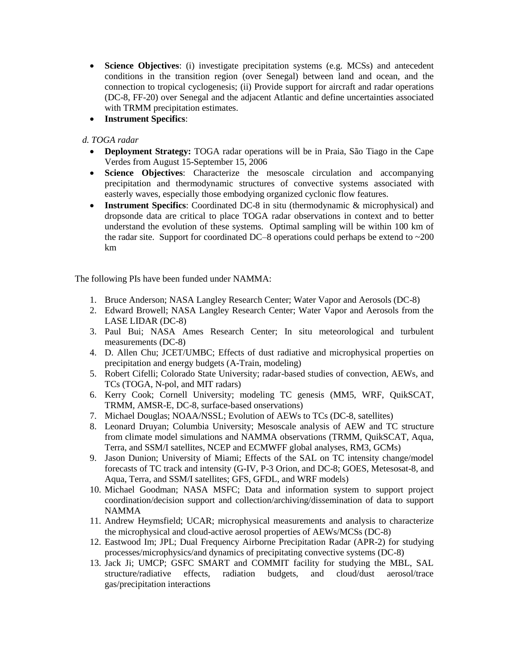- **Science Objectives**: (i) investigate precipitation systems (e.g. MCSs) and antecedent conditions in the transition region (over Senegal) between land and ocean, and the connection to tropical cyclogenesis; (ii) Provide support for aircraft and radar operations (DC-8, FF-20) over Senegal and the adjacent Atlantic and define uncertainties associated with TRMM precipitation estimates.
- **Instrument Specifics**:

## *d. TOGA radar*

- **Deployment Strategy:** TOGA radar operations will be in Praia, São Tiago in the Cape Verdes from August 15-September 15, 2006
- **Science Objectives**: Characterize the mesoscale circulation and accompanying precipitation and thermodynamic structures of convective systems associated with easterly waves, especially those embodying organized cyclonic flow features.
- **Instrument Specifics**: Coordinated DC-8 in situ (thermodynamic & microphysical) and dropsonde data are critical to place TOGA radar observations in context and to better understand the evolution of these systems. Optimal sampling will be within 100 km of the radar site. Support for coordinated DC–8 operations could perhaps be extend to  $\sim$ 200 km

The following PIs have been funded under NAMMA:

- 1. Bruce Anderson; NASA Langley Research Center; Water Vapor and Aerosols (DC-8)
- 2. Edward Browell; NASA Langley Research Center; Water Vapor and Aerosols from the LASE LIDAR (DC-8)
- 3. Paul Bui; NASA Ames Research Center; In situ meteorological and turbulent measurements (DC-8)
- 4. D. Allen Chu; JCET/UMBC; Effects of dust radiative and microphysical properties on precipitation and energy budgets (A-Train, modeling)
- 5. Robert Cifelli; Colorado State University; radar-based studies of convection, AEWs, and TCs (TOGA, N-pol, and MIT radars)
- 6. Kerry Cook; Cornell University; modeling TC genesis (MM5, WRF, QuikSCAT, TRMM, AMSR-E, DC-8, surface-based onservations)
- 7. Michael Douglas; NOAA/NSSL; Evolution of AEWs to TCs (DC-8, satellites)
- 8. Leonard Druyan; Columbia University; Mesoscale analysis of AEW and TC structure from climate model simulations and NAMMA observations (TRMM, QuikSCAT, Aqua, Terra, and SSM/I satellites, NCEP and ECMWFF global analyses, RM3, GCMs)
- 9. Jason Dunion; University of Miami; Effects of the SAL on TC intensity change/model forecasts of TC track and intensity (G-IV, P-3 Orion, and DC-8; GOES, Metesosat-8, and Aqua, Terra, and SSM/I satellites; GFS, GFDL, and WRF models)
- 10. Michael Goodman; NASA MSFC; Data and information system to support project coordination/decision support and collection/archiving/dissemination of data to support NAMMA
- 11. Andrew Heymsfield; UCAR; microphysical measurements and analysis to characterize the microphysical and cloud-active aerosol properties of AEWs/MCSs (DC-8)
- 12. Eastwood Im; JPL; Dual Frequency Airborne Precipitation Radar (APR-2) for studying processes/microphysics/and dynamics of precipitating convective systems (DC-8)
- 13. Jack Ji; UMCP; GSFC SMART and COMMIT facility for studying the MBL, SAL structure/radiative effects, radiation budgets, and cloud/dust aerosol/trace gas/precipitation interactions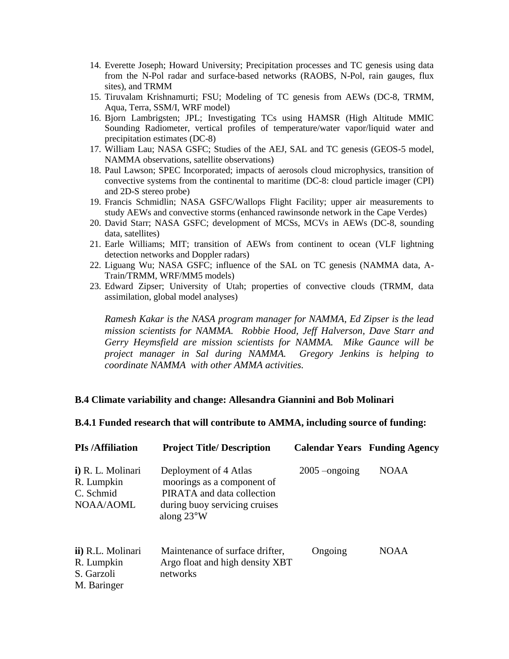- 14. Everette Joseph; Howard University; Precipitation processes and TC genesis using data from the N-Pol radar and surface-based networks (RAOBS, N-Pol, rain gauges, flux sites), and TRMM
- 15. Tiruvalam Krishnamurti; FSU; Modeling of TC genesis from AEWs (DC-8, TRMM, Aqua, Terra, SSM/I, WRF model)
- 16. Bjorn Lambrigsten; JPL; Investigating TCs using HAMSR (High Altitude MMIC Sounding Radiometer, vertical profiles of temperature/water vapor/liquid water and precipitation estimates (DC-8)
- 17. William Lau; NASA GSFC; Studies of the AEJ, SAL and TC genesis (GEOS-5 model, NAMMA observations, satellite observations)
- 18. Paul Lawson; SPEC Incorporated; impacts of aerosols cloud microphysics, transition of convective systems from the continental to maritime (DC-8: cloud particle imager (CPI) and 2D-S stereo probe)
- 19. Francis Schmidlin; NASA GSFC/Wallops Flight Facility; upper air measurements to study AEWs and convective storms (enhanced rawinsonde network in the Cape Verdes)
- 20. David Starr; NASA GSFC; development of MCSs, MCVs in AEWs (DC-8, sounding data, satellites)
- 21. Earle Williams; MIT; transition of AEWs from continent to ocean (VLF lightning detection networks and Doppler radars)
- 22. Liguang Wu; NASA GSFC; influence of the SAL on TC genesis (NAMMA data, A-Train/TRMM, WRF/MM5 models)
- 23. Edward Zipser; University of Utah; properties of convective clouds (TRMM, data assimilation, global model analyses)

*Ramesh Kakar is the NASA program manager for NAMMA, Ed Zipser is the lead mission scientists for NAMMA. Robbie Hood, Jeff Halverson, Dave Starr and Gerry Heymsfield are mission scientists for NAMMA. Mike Gaunce will be project manager in Sal during NAMMA. Gregory Jenkins is helping to coordinate NAMMA with other AMMA activities.*

#### **B.4 Climate variability and change: Allesandra Giannini and Bob Molinari**

| B.4.1 Funded research that will contribute to AMMA, including source of funding: |  |  |  |  |  |  |  |  |  |  |  |  |  |  |  |  |
|----------------------------------------------------------------------------------|--|--|--|--|--|--|--|--|--|--|--|--|--|--|--|--|
|----------------------------------------------------------------------------------|--|--|--|--|--|--|--|--|--|--|--|--|--|--|--|--|

| <b>PIs/Affiliation</b>                                       | <b>Project Title/Description</b>                                                                                                           |                 | <b>Calendar Years Funding Agency</b> |
|--------------------------------------------------------------|--------------------------------------------------------------------------------------------------------------------------------------------|-----------------|--------------------------------------|
| i) R. L. Molinari<br>R. Lumpkin<br>C. Schmid<br>NOAA/AOML    | Deployment of 4 Atlas<br>moorings as a component of<br>PIRATA and data collection<br>during buoy servicing cruises<br>along $23^{\circ}$ W | $2005$ –ongoing | <b>NOAA</b>                          |
| ii) R.L. Molinari<br>R. Lumpkin<br>S. Garzoli<br>M. Baringer | Maintenance of surface drifter,<br>Argo float and high density XBT<br>networks                                                             | Ongoing         | <b>NOAA</b>                          |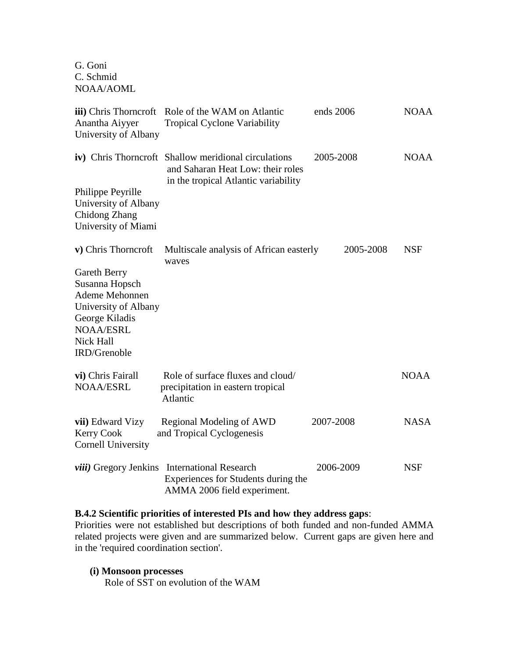G. Goni C. Schmid NOAA/AOML

| <b>iii</b> ) Chris Thorncroft<br>Anantha Aiyyer<br>University of Albany                                                                     | Role of the WAM on Atlantic<br><b>Tropical Cyclone Variability</b>                                                                | ends 2006 | <b>NOAA</b> |
|---------------------------------------------------------------------------------------------------------------------------------------------|-----------------------------------------------------------------------------------------------------------------------------------|-----------|-------------|
|                                                                                                                                             | iv) Chris Thorncroft Shallow meridional circulations<br>and Saharan Heat Low: their roles<br>in the tropical Atlantic variability | 2005-2008 | <b>NOAA</b> |
| Philippe Peyrille<br>University of Albany<br>Chidong Zhang<br>University of Miami                                                           |                                                                                                                                   |           |             |
| v) Chris Thorncroft                                                                                                                         | Multiscale analysis of African easterly<br>waves                                                                                  | 2005-2008 | <b>NSF</b>  |
| Gareth Berry<br>Susanna Hopsch<br>Ademe Mehonnen<br>University of Albany<br>George Kiladis<br><b>NOAA/ESRL</b><br>Nick Hall<br>IRD/Grenoble |                                                                                                                                   |           |             |
| vi) Chris Fairall<br><b>NOAA/ESRL</b>                                                                                                       | Role of surface fluxes and cloud/<br>precipitation in eastern tropical<br>Atlantic                                                |           | <b>NOAA</b> |
| vii) Edward Vizy<br><b>Kerry Cook</b><br><b>Cornell University</b>                                                                          | Regional Modeling of AWD<br>and Tropical Cyclogenesis                                                                             | 2007-2008 | <b>NASA</b> |
|                                                                                                                                             | viii) Gregory Jenkins International Research<br>Experiences for Students during the<br>AMMA 2006 field experiment.                | 2006-2009 | <b>NSF</b>  |

## **B.4.2 Scientific priorities of interested PIs and how they address gaps**:

Priorities were not established but descriptions of both funded and non-funded AMMA related projects were given and are summarized below. Current gaps are given here and in the 'required coordination section'.

#### **(i) Monsoon processes**

Role of SST on evolution of the WAM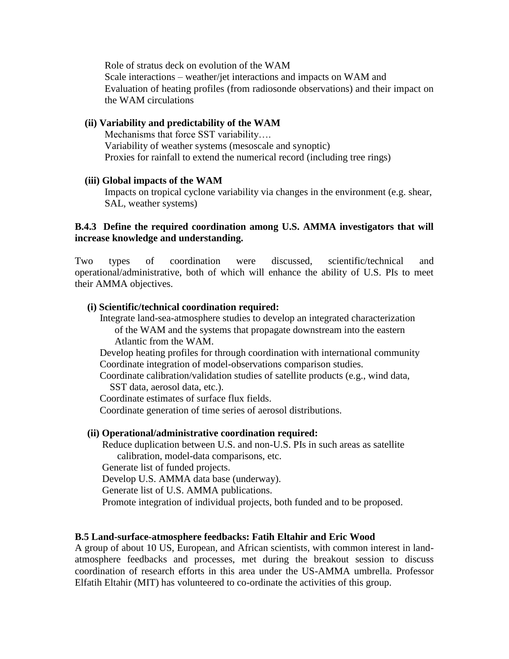Role of stratus deck on evolution of the WAM Scale interactions – weather/jet interactions and impacts on WAM and Evaluation of heating profiles (from radiosonde observations) and their impact on the WAM circulations

## **(ii) Variability and predictability of the WAM**

Mechanisms that force SST variability…. Variability of weather systems (mesoscale and synoptic) Proxies for rainfall to extend the numerical record (including tree rings)

## **(iii) Global impacts of the WAM**

Impacts on tropical cyclone variability via changes in the environment (e.g. shear, SAL, weather systems)

# **B.4.3 Define the required coordination among U.S. AMMA investigators that will increase knowledge and understanding.**

Two types of coordination were discussed, scientific/technical and operational/administrative, both of which will enhance the ability of U.S. PIs to meet their AMMA objectives.

## **(i) Scientific/technical coordination required:**

 Integrate land-sea-atmosphere studies to develop an integrated characterization of the WAM and the systems that propagate downstream into the eastern Atlantic from the WAM.

 Develop heating profiles for through coordination with international community Coordinate integration of model-observations comparison studies.

 Coordinate calibration/validation studies of satellite products (e.g., wind data, SST data, aerosol data, etc.).

Coordinate estimates of surface flux fields.

Coordinate generation of time series of aerosol distributions.

## **(ii) Operational/administrative coordination required:**

 Reduce duplication between U.S. and non-U.S. PIs in such areas as satellite calibration, model-data comparisons, etc.

Generate list of funded projects.

Develop U.S. AMMA data base (underway).

Generate list of U.S. AMMA publications.

Promote integration of individual projects, both funded and to be proposed.

## **B.5 Land-surface-atmosphere feedbacks: Fatih Eltahir and Eric Wood**

A group of about 10 US, European, and African scientists, with common interest in landatmosphere feedbacks and processes, met during the breakout session to discuss coordination of research efforts in this area under the US-AMMA umbrella. Professor Elfatih Eltahir (MIT) has volunteered to co-ordinate the activities of this group.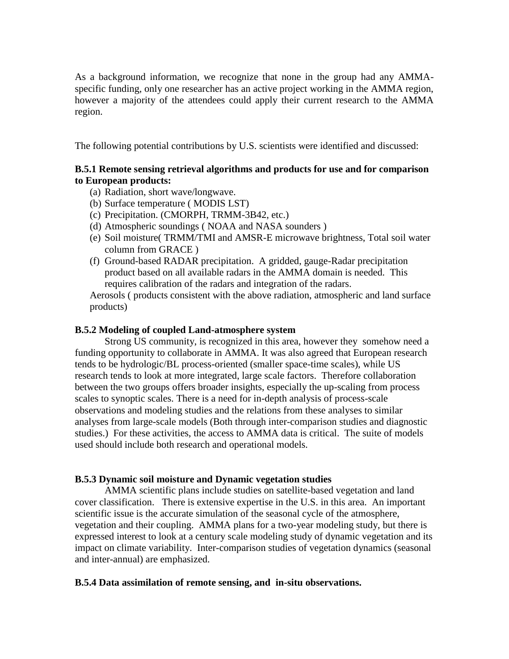As a background information, we recognize that none in the group had any AMMAspecific funding, only one researcher has an active project working in the AMMA region, however a majority of the attendees could apply their current research to the AMMA region.

The following potential contributions by U.S. scientists were identified and discussed:

# **B.5.1 Remote sensing retrieval algorithms and products for use and for comparison to European products:**

- (a) Radiation, short wave/longwave.
- (b) Surface temperature ( MODIS LST)
- (c) Precipitation. (CMORPH, TRMM-3B42, etc.)
- (d) Atmospheric soundings ( NOAA and NASA sounders )
- (e) Soil moisture( TRMM/TMI and AMSR-E microwave brightness, Total soil water column from GRACE )
- (f) Ground-based RADAR precipitation. A gridded, gauge-Radar precipitation product based on all available radars in the AMMA domain is needed. This requires calibration of the radars and integration of the radars.

Aerosols ( products consistent with the above radiation, atmospheric and land surface products)

## **B.5.2 Modeling of coupled Land-atmosphere system**

Strong US community, is recognized in this area, however they somehow need a funding opportunity to collaborate in AMMA. It was also agreed that European research tends to be hydrologic/BL process-oriented (smaller space-time scales), while US research tends to look at more integrated, large scale factors. Therefore collaboration between the two groups offers broader insights, especially the up-scaling from process scales to synoptic scales. There is a need for in-depth analysis of process-scale observations and modeling studies and the relations from these analyses to similar analyses from large-scale models (Both through inter-comparison studies and diagnostic studies.) For these activities, the access to AMMA data is critical. The suite of models used should include both research and operational models.

## **B.5.3 Dynamic soil moisture and Dynamic vegetation studies**

AMMA scientific plans include studies on satellite-based vegetation and land cover classification. There is extensive expertise in the U.S. in this area. An important scientific issue is the accurate simulation of the seasonal cycle of the atmosphere, vegetation and their coupling. AMMA plans for a two-year modeling study, but there is expressed interest to look at a century scale modeling study of dynamic vegetation and its impact on climate variability. Inter-comparison studies of vegetation dynamics (seasonal and inter-annual) are emphasized.

## **B.5.4 Data assimilation of remote sensing, and in-situ observations.**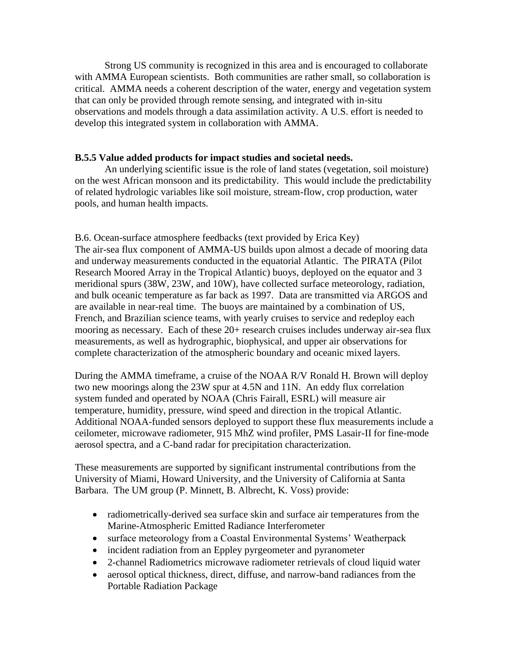Strong US community is recognized in this area and is encouraged to collaborate with AMMA European scientists. Both communities are rather small, so collaboration is critical. AMMA needs a coherent description of the water, energy and vegetation system that can only be provided through remote sensing, and integrated with in-situ observations and models through a data assimilation activity. A U.S. effort is needed to develop this integrated system in collaboration with AMMA.

## **B.5.5 Value added products for impact studies and societal needs.**

An underlying scientific issue is the role of land states (vegetation, soil moisture) on the west African monsoon and its predictability. This would include the predictability of related hydrologic variables like soil moisture, stream-flow, crop production, water pools, and human health impacts.

B.6. Ocean-surface atmosphere feedbacks (text provided by Erica Key) The air-sea flux component of AMMA-US builds upon almost a decade of mooring data and underway measurements conducted in the equatorial Atlantic. The PIRATA (Pilot Research Moored Array in the Tropical Atlantic) buoys, deployed on the equator and 3 meridional spurs (38W, 23W, and 10W), have collected surface meteorology, radiation, and bulk oceanic temperature as far back as 1997. Data are transmitted via ARGOS and are available in near-real time. The buoys are maintained by a combination of US, French, and Brazilian science teams, with yearly cruises to service and redeploy each mooring as necessary. Each of these 20+ research cruises includes underway air-sea flux measurements, as well as hydrographic, biophysical, and upper air observations for complete characterization of the atmospheric boundary and oceanic mixed layers.

During the AMMA timeframe, a cruise of the NOAA R/V Ronald H. Brown will deploy two new moorings along the 23W spur at 4.5N and 11N. An eddy flux correlation system funded and operated by NOAA (Chris Fairall, ESRL) will measure air temperature, humidity, pressure, wind speed and direction in the tropical Atlantic. Additional NOAA-funded sensors deployed to support these flux measurements include a ceilometer, microwave radiometer, 915 MhZ wind profiler, PMS Lasair-II for fine-mode aerosol spectra, and a C-band radar for precipitation characterization.

These measurements are supported by significant instrumental contributions from the University of Miami, Howard University, and the University of California at Santa Barbara. The UM group (P. Minnett, B. Albrecht, K. Voss) provide:

- radiometrically-derived sea surface skin and surface air temperatures from the Marine-Atmospheric Emitted Radiance Interferometer
- surface meteorology from a Coastal Environmental Systems' Weatherpack
- incident radiation from an Eppley pyrgeometer and pyranometer
- 2-channel Radiometrics microwave radiometer retrievals of cloud liquid water
- aerosol optical thickness, direct, diffuse, and narrow-band radiances from the Portable Radiation Package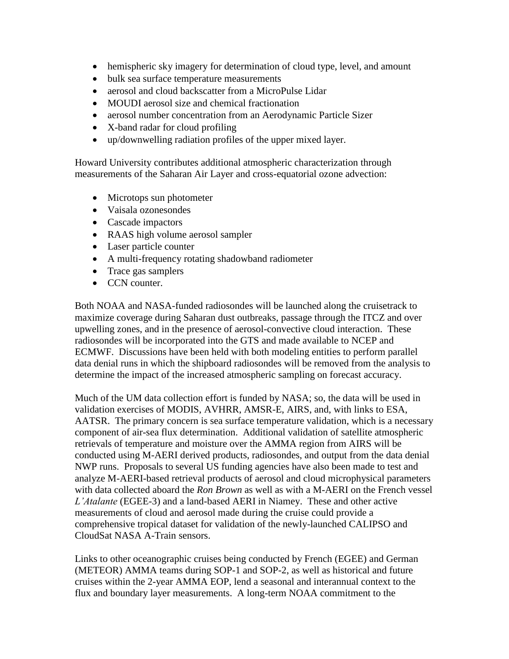- hemispheric sky imagery for determination of cloud type, level, and amount
- bulk sea surface temperature measurements
- aerosol and cloud backscatter from a MicroPulse Lidar
- MOUDI aerosol size and chemical fractionation
- aerosol number concentration from an Aerodynamic Particle Sizer
- X-band radar for cloud profiling
- up/downwelling radiation profiles of the upper mixed layer.

Howard University contributes additional atmospheric characterization through measurements of the Saharan Air Layer and cross-equatorial ozone advection:

- Microtops sun photometer
- Vaisala ozonesondes
- Cascade impactors
- RAAS high volume aerosol sampler
- Laser particle counter
- A multi-frequency rotating shadowband radiometer
- Trace gas samplers
- CCN counter.

Both NOAA and NASA-funded radiosondes will be launched along the cruisetrack to maximize coverage during Saharan dust outbreaks, passage through the ITCZ and over upwelling zones, and in the presence of aerosol-convective cloud interaction. These radiosondes will be incorporated into the GTS and made available to NCEP and ECMWF. Discussions have been held with both modeling entities to perform parallel data denial runs in which the shipboard radiosondes will be removed from the analysis to determine the impact of the increased atmospheric sampling on forecast accuracy.

Much of the UM data collection effort is funded by NASA; so, the data will be used in validation exercises of MODIS, AVHRR, AMSR-E, AIRS, and, with links to ESA, AATSR. The primary concern is sea surface temperature validation, which is a necessary component of air-sea flux determination. Additional validation of satellite atmospheric retrievals of temperature and moisture over the AMMA region from AIRS will be conducted using M-AERI derived products, radiosondes, and output from the data denial NWP runs. Proposals to several US funding agencies have also been made to test and analyze M-AERI-based retrieval products of aerosol and cloud microphysical parameters with data collected aboard the *Ron Brown* as well as with a M-AERI on the French vessel *L'Atalante* (EGEE-3) and a land-based AERI in Niamey. These and other active measurements of cloud and aerosol made during the cruise could provide a comprehensive tropical dataset for validation of the newly-launched CALIPSO and CloudSat NASA A-Train sensors.

Links to other oceanographic cruises being conducted by French (EGEE) and German (METEOR) AMMA teams during SOP-1 and SOP-2, as well as historical and future cruises within the 2-year AMMA EOP, lend a seasonal and interannual context to the flux and boundary layer measurements. A long-term NOAA commitment to the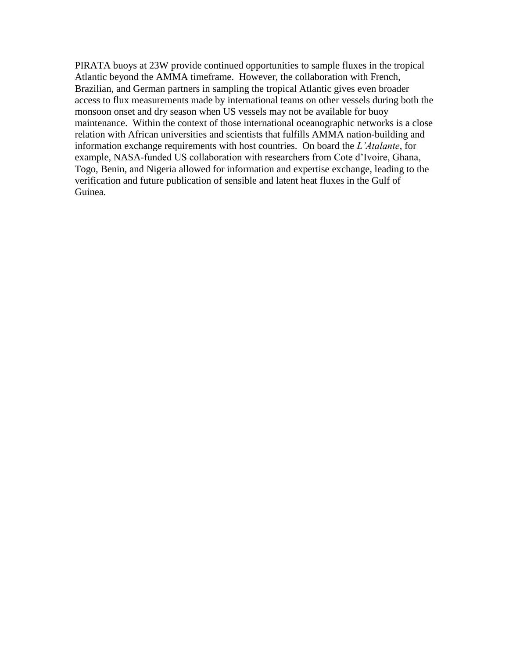PIRATA buoys at 23W provide continued opportunities to sample fluxes in the tropical Atlantic beyond the AMMA timeframe. However, the collaboration with French, Brazilian, and German partners in sampling the tropical Atlantic gives even broader access to flux measurements made by international teams on other vessels during both the monsoon onset and dry season when US vessels may not be available for buoy maintenance. Within the context of those international oceanographic networks is a close relation with African universities and scientists that fulfills AMMA nation-building and information exchange requirements with host countries. On board the *L'Atalante*, for example, NASA-funded US collaboration with researchers from Cote d'Ivoire, Ghana, Togo, Benin, and Nigeria allowed for information and expertise exchange, leading to the verification and future publication of sensible and latent heat fluxes in the Gulf of Guinea.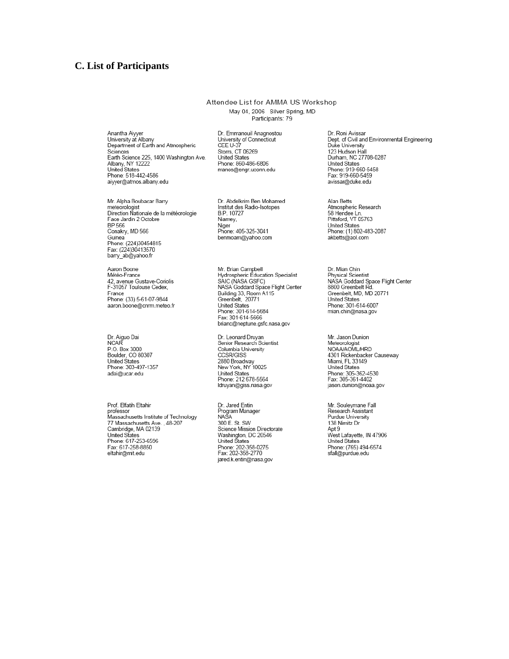#### **C.** List of Participants

#### Attendee List for AMMA US Workshop May 04, 2006 Silver Spring, MD Participants: 79

Anantha Aiyyer<br>University at Albany<br>Department of Earth and Atmospheric Sciences Earth Science 225, 1400 Washington Ave. Caraf Science 225, 14<br>Albany, NY 12222<br>United States<br>Phone: 518-442-4586 aiyyer@atmos.albany.edu

Mr. Alpha Boubacar Barry<br>meteorologist<br>Direction Nationale de la météorologie Face Jardin 2 Octobre BP 566 Conakry, MD 566 Guinea<br>Phone: (224)30454815<br>Fax: (224)30413570 barry\_ab@yahoo.fr

Aaron Boone<br>Météo-France 42, avenue Gustave-Coriolis<br>F-31057 Toulouse Cedex, France Phone: (33) 5-61-07-9844 aaron.boone@cnrm.meteo.fr

Dr. Aiguo Dai<br>NCAR P.O. Box 3000<br>Boulder, CO 80307<br>United States Phone: 303-497-1357 adai@ucar.edu

Prof. Elfatih Eltahir professor<br>professor<br>Massachusetts Institute of Technology 77 Massachusetts Ave., 48-207<br>Cambridge, MA 02139 United States<br>Phone: 617-253-6596 Fax: 617-258-8850 eltahir@mit.edu

Dr. Emmanouil Anagnostou<br>University of Connecticut<br>CEE U-37 Storrs, CT 06269 **United States** Phone: 860-486-6806 manos@engr.uconn.edu

Dr. Abdelkrim Ben Mohamed Institut des Radio-Isotopes B.P. 10727 Niamey, Niger n...<br>Phone: 405-325-3041 benmoam@yahoo.com

Mr. Brian Campbell<br>Hydrospheric Education Specialist SÁIC (NASA GSFC) NASA Goddard Space Flight Center<br>Building 33, Room A115<br>Greenbelt, 20771 Greenbert, 2011<br>Phited States<br>Phone: 301-614-5684<br>Fax: 301-614-5666<br>brianc@neptune.gsfc.nasa.gov

Dr. Leonard Druyan<br>Senior Research Scientist Columbia University CCSR/GISS 2880 Broadway<br>2880 Broadway<br>New York, NY 10025 United States<br>Phone: 212 678-5564<br>Idruyan@giss.nasa.gov

Dr. Jared Entin Program Manager<br>NASA 300 E. St. SW Science Mission Directorate Science Mission Directo<br>Washington, DC 20546<br>United States<br>Phone: 202-358-0275<br>Fax: 202-358-2770 jared.k.entin@nasa.gov

Dr. Roni Avissar Dept. of Civil and Environmental Engineering Duke University 123 Hudson Hall<br>Durham, NC 27708-0287<br>United States Phone: 919-660-5458 Fax: 919-660-5459 avissar@duke.edu

Alan Betts<br>Atmospheric Research Francophone Research<br>58 Hendee Ln.<br>Pittsford, VT 05763 United States<br>Phone: (1) 802-483-2087 akbetts@aol.com

Dr. Mian Chin Physical Scientist MASA Goddard Space Flight Center<br>8800 Greenbelt Rd.<br>Greenbelt, MD, MD 20771 United States Phone: 301-614-6007 mian.chin@nasa.gov

Mr. Jason Dunion Meteorologist NOAA/AOML/HRD 4301 Rickenbacker Causeway<br>Miami, FL 33149<br>United States Phone: 305-362-4530<br>Fax: 305-361-4402 jason.dunion@noaa.gov

Mr. Souleymane Fall<br>Research Assistant Purdue University 138 Nimitz Dr Apt 9 West Lafayette, IN 47906 United States<br>Phone: (765) 494-6574<br>sfall@purdue.edu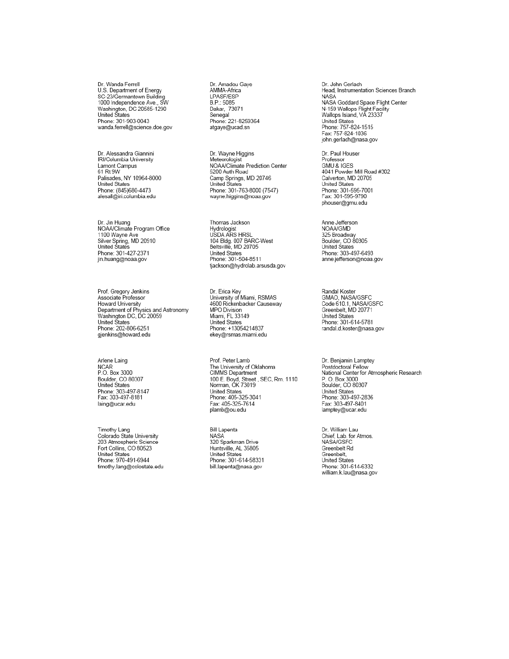Dr. Wanda Ferrell U.S. Department of Energy 0.3. Department of Energy<br>SC-23/Germantown Building<br>1000 Independence Ave., SW<br>Washington, DC 20585-1290<br>United States Phone: 301-903-0043 wanda.ferrell@science.doe.gov

Dr. Alessandra Giannini<br>IRI/Columbia University Lamont Campus 61 Rt 9W Palisades, NY 10964-8000 United States<br>Phone: (845)680-4473<br>alesall@iri.columbia.edu

Dr. Jin Huang<br>NOAA/Climate Program Office 1100 Wayne Ave<br>Silver Spring, MD 20910<br>United States Phone: 301-427-2371 jin.huang@noaa.gov

Prof. Gregory Jenkins<br>Associate Professor Howard University Department of Physics and Astronomy<br>Washington DC, DC 20059 United Štates<br>Phone: 202-806-6251 gjenkins@howard.edu

Arlene Laing NCAR<br>P.O. Box 3000 Boulder, CO 80307<br>United States Phone: 303-497-8147 Fax: 303-497-8181 laing@ucar.edu

Timothy Lang<br>Colorado State University 203 Atmospheric Science Fort Collins, CO 80523 United States<br>Phone: 970-491-6944 timothy.lang@colostate.edu Dr. Amadou Gaye AMMA-Africa LPASF/ESP B.P.: 5085 Dakar, 73071<br>Senegal Phone: 221-8259364 atgaye@ucad.sn

Dr. Wayne Higgins Meteorologist<br>NOAA/Climate Prediction Center 5200 Auth Road Camp Springs, MD 20746 United States<br>Phone: 301-763-8000 (7547) wayne.higgins@noaa.gov

Thomas Jackson Hiomas Sackson<br>Hydrologist<br>USDA ARS HRSL USDA ARS TIRSL<br>104 Bldg. 007 BARC-West<br>Beltsville, MD 20705 United States<br>Phone: 301-504-8511 tjackson@hydrolab.arsusda.gov

Dr. Erica Key<br>University of Miami, RSMAS<br>4600 Rickenbacker Causeway MPO Division Miami, FL 33149 United States<br>Phone: +13054214837 ekey@rsmas.miami.edu

Prof. Peter Lamb Froi. Peter Lamb<br>The University of Oklahoma<br>CIMMS Department<br>100 E. Boyd, Street , SEC, Rm. 1110<br>Norman, OK 73019 United States Phone: 405-325-3041 Fax: 405-325-7614 plamb@ou.edu

Bill Lapenta NASA<sup>'</sup> 320 Sparkman Drive Huntsville, AL 35805 United States<br>Phone: 301-614-58331 bill.lapenta@nasa.gov

Dr. John Gerlach Head, Instrumentation Sciences Branch NASA<br>NASA<br>NASA Goddard Space Flight Center NASA Goddard Space Flight<br>N-159 Wallops Flight Facility<br>Wallops Island, VA 23337 United States<br>Phone: 757-824-1515 Frienc: 757-624-1515<br>Fax: 757-824-1036<br>john.gerlach@nasa.gov

Dr. Paul Houser Professor GMU & IGES 4041 Powder Mill Road #302 Calverton, MD 20705 United States<br>Phone: 301-595-7001<br>Fax: 301-595-9790 phouser@gmu.edu

Anne Jefferson<br>NOAA/GMD 325 Broadway<br>Boulder, CO 80305<br>United States Phone: 303-497-6493 anne.jefferson@noaa.gov

Randal Koster<br>GMAO, NASA/GSFC<br>Code 610.1, NASA/GSFC Greenbelt, MD 20771 United States<br>Phone: 301-614-5781<br>randal.d.koster@nasa.gov

Dr. Benjamin Lamptey Postdoctoral Fellow<br>National Center for Atmospheric Research National Center for:<br>P. O. Box 3000<br>Boulder, CO 80307 United States<br>Phone: 303-497-2836 Fax: 303-497-8401<br>| Fax: 303-497-8401<br>| lamptey@ucar.edu

Dr. William Lau Chief, Lab. for Atmos. NASA/GSFC Greenbelt Rd Greenbelt,<br>United States Phone: 301-614-6332 william.k.lau@nasa.gov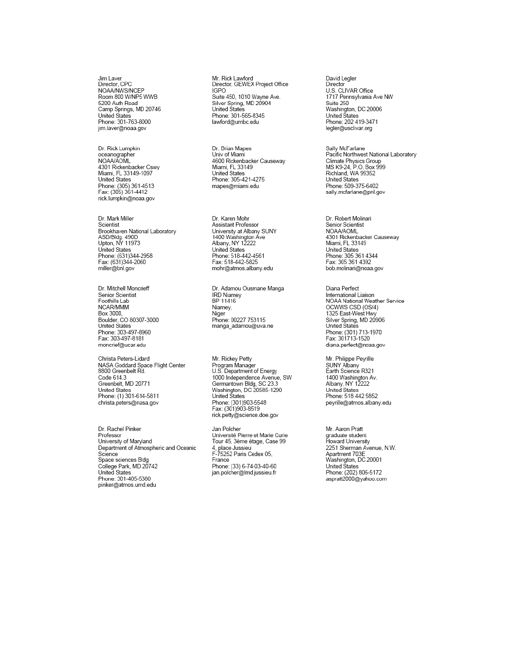Jim Laver<br>Director, CPC NOAA/NWS/NCEP Room 800 W/NP5 WWB 5200 Auth Road Camp Springs, MD 20746 United States<br>Phone: 301-763-8000 jim.laver@noaa.gov

Dr. Rick Lumpkin oceanographer<br>NOAA/AOML 4301 Rickenbacker Cswy Miami, FL 33149-1097 United States Phone: (305) 361-4513<br>Fax: (305) 361-4412 rick.lumpkin@noaa.gov

Dr. Mark Miller<br>Scientist Brookhaven National Laboratory ASD/Bldg. 490D<br>Upton, NY 11973 United States Phone: (631)344-2958<br>Fax: (631)344-2060 miller@bnl.gov

Dr. Mitchell Moncrieff Senior Scientist Foothills Lab NCAR/MMM Box 3000,<br>Boulder, CO 80307-3000<br>United States Phone: 303-497-8960 Fax: 303-497-8181 moncrief@ucar.edu

Christa Peters-Lidard NASA Goddard Space Flight Center 8800 Greenbelt Rd. Code 614.3<br>Greenbelt, MD 20771 United States Phone: (1) 301-614-5811 christa.peters@nasa.gov

Dr. Rachel Pinker Professor University of Maryland Department of Atmospheric and Oceanic Science Science<br>Space sciences Bldg<br>College Park, MD 20742 United States Phone: 301-405-5380 pinker@atmos.umd.edu

Mr. Rick Lawford<br>Director, GEWEX Project Office IGPO .c.<br>Suite 450, 1010 Wayne Ave. Silver Spring, MD 20904<br>United States onited States<br>Phone: 301-565-8345<br>lawford@umbc.edu

Dr. Brian Mapes<br>Univ of Miami 4600 Rickenbacker Causeway Miami, FL 33149 United States<br>Phone: 305-421-4275 mapes@miami.edu

Dr. Karen Mohr<br>Assistant Professor University at Albany SUNY 1400 Washington Ave<br>Albany, NY 12222<br>United States Phone: 518-442-4561 Fax: 518-442-5825 mohr@atmos.albany.edu

Dr. Adamou Ousmane Manga IRD Niamey<br>IRD Niamey<br>BP 11416 Niamey, Niger Phone: 00227 753115 manga\_adamou@uva.ne

Mr. Rickey Petty Program Manager U.S. Department of Energy 1.000 Independence Avenue, SW<br>Germantown Bldg, SC 23.3<br>Washington, DC 20585-1290<br>United States Phone: (301)903-5548 Fax: (301)903-8519 rick.petty@science.doe.gov

Jan Polcher Université Pierre et Marie Curie Tour 45, 3ème étage, Case 99 4, place Jussieu<br>F-75252 Paris Cedex 05, France Phone: (33) 6-74-03-40-60 jan.polcher@lmd.jussieu.fr

David Legler Director U.S. CLIVAR Office 1717 Pennsylvania Ave NW Suite 250 Washington, DC 20006 United States<br>Phone: 202 419-3471 legler@usclivar.org

Sally McFarlane<br>Pacific Northwest National Laboratory Pacific Northwest National<br>Climate Physics Group<br>MS K9-24, P.O. Box 999 Richland, WA 99352 United States Phone: 509-375-6402 sally.mcfarlane@pnl.gov

Dr. Robert Molinari Senior Scientist **NOAA/AOML** 4301 Rickenbacker Causeway Miami, FL 33149 United States Phone: 305 361 4344 Fax: 305 361 4392 bob.molinari@noaa.gov

Diana Perfect International Liaison NOAA National Weather Service OCWWS CSD (OS/4)<br>1325 East-West Hwy Silver Spring, MD 20906<br>United States Phone: (301) 713-1970<br>Fax: 301713-1520 diana.perfect@noaa.gov

Mr. Philippe Peyrille<br>SUNY Albany<br>Earth Science R321 1400 Washington Av.<br>Albany, NY 12222<br>United States Phone: 518 442 5852 peyrille@atmos.albany.edu

Mr. Aaron Pratt graduate student<br>graduate student<br>Howard University 2251 Sherman Avenue, N.W. Apartment 703E<br>Washington, DC 20001 United States Phone: (202) 806-5172 aspratt2000@yahoo.com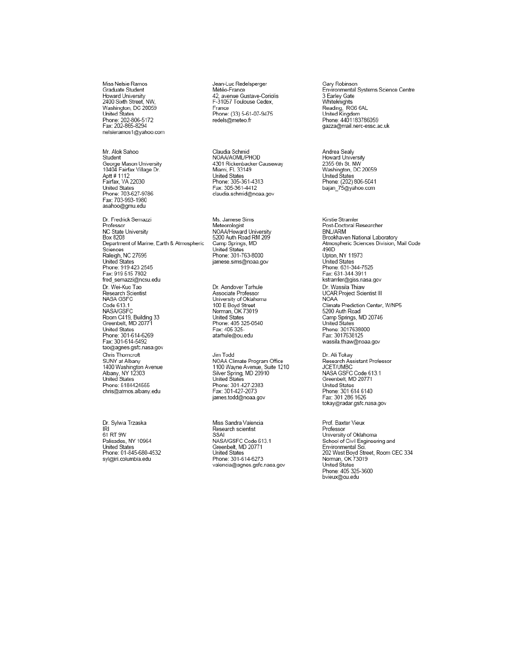Miss Nelsie Ramos Graduate Student Howard University<br>2400 Sixth Street, NW, Washington, DC 20059 United States<br>Phone: 202-806-5172<br>Fax: 202-865-8294 nelsieramos1@yahoo.com

Mr. Alok Sahoo Student รเนนen<br>George Mason University<br>10404 Fairfax Village Dr. Aptt # 1112 Fairfax, VA 22030<br>Fairfax, VA 22030<br>United States<br>Phone: 703-627-9786 Fax: 703-993-1980 asahoo@gmu.edu

Dr. Fredrick Semazzi Professor NC State University **Box 8208** Department of Marine, Earth & Atmospheric Sciences<br>Raleigh, NC 27695 United States<br>Phone: 919 423 2545<br>Fax: 919 515 7802 fred semazzi@ncsu.edu Dr. Wei-Kuo Tao Research Scientist NASA GSFC Code 613.1 **NASA/GSFC** NASA/GSFC<br>Room C419, Building 33<br>Greenbelt, MD 20771 United States<br>Phone: 301-614-6269<br>Fax: 301-614-5492 tao@agnes.gsfc.nasa.gov Chris Thomcroft SUNY at Albany 1400 Washington Avenue<br>Albany, NY 12303<br>United States Phone: 5184424555 chris@atmos.albany.edu

Dr. Sylwia Trzaska IRI<br>IRI<br>61 RT 9W Palisades, NY 10964<br>United States<br>Phone: 01-845-680-4532 syl@iri.columbia.edu

Jean-Luc Redelsperger Météo-France 42, avenue Gustave-Coriolis<br>F-31057 Toulouse Cedex, France Phone: (33) 5-61-07-9475 redels@meteo.fr

Claudia Schmid<br>NOAA/AOML/PHOD<br>4301 Rickenbacker Causeway Miami, FL 33149 United States<br>Phone: 305-361-4313<br>Fax: 305-361-4412 claudia.schmid@noaa.gov

Ms. Jamese Sims<br>Meteorologist NOAA/Howard University 5200 Auth Road RM 209 Camp Springs, MD United States Phone: 301-763-8000 jamese.sims@noaa.gov

Dr. Aondover Tarhule Associate Professor University of Oklahoma 100 E Boyd Street<br>Norman, OK 73019 United States Phone: 405 325-0540 Fax: 405 325atarhule@ou.edu

Jim Todd NOAA Climate Program Office 1100 Wayne Avenue, Suite 1210 Silver Spring, MD 20910<br>United States Phone: 301-427-2383 Fax: 301-427-2073 james.todd@noaa.gov

Miss Sandra Valencia Research scientist SSAI SSAI<br>NASA/GSFC Code 613.1<br>Greenbelt, MD 20771 United States Phone: 301-614-6273 valencia@agnes.gsfc.nasa.gov Gary Robinson<br>Environmental Systems Science Centre 3 Earley Gate<br>Whiteknights Nincolling<br>Reading, RG6 6AL<br>United Kingdom<br>Phone: 4401183786059 

Andrea Sealy Howard University<br>2355 6th St. NW Washington, DC 20059 Victorial States<br>Phone: (202) 806-5041<br>bajan\_75@yahoo.com

Kirstie Stramler<br>Post-Doctoral Researcher BNL/ARM ی ریاست دین<br>Brookhaven National Laboratory<br>Atmospheric Sciences Division, Mail Code<br>490D Upton, NY 11973 Upion, NY 11973<br>United States<br>Phone: 631-344-7525<br>Fax: 631-344-3911<br>kstramler@giss.nasa.gov Dr. Wassila Thiaw UCAR Project Scientist III **NOAA** Climate Prediction Center, W/NP5<br>5200 Auth Road Camp Springs, MD 20746<br>United States Phone: 3017638000<br>Fax: 3017638125 wassila.thiaw@noaa.gov

Dr. Ali Tokay<br>Research Assistant Professor<br>JCET/UMBC<br>NASA GSFC Code 613.1<br>Greenbelt, MD 20771 United States<br>Phone: 301 614 6140 Fax: 301 286 1626<br>Fax: 301 286 1626<br>tokay@radar.gsfc.nasa.gov

Prof. Baxter Vieux Professor Professor<br>University of Oklahoma<br>School of Civil Engineering and<br>Environmental Sci. Environmental Street, Room CEC 334<br>Norman, OK 73019<br>United States Phone: 405 325-3600 bvieux@ou.edu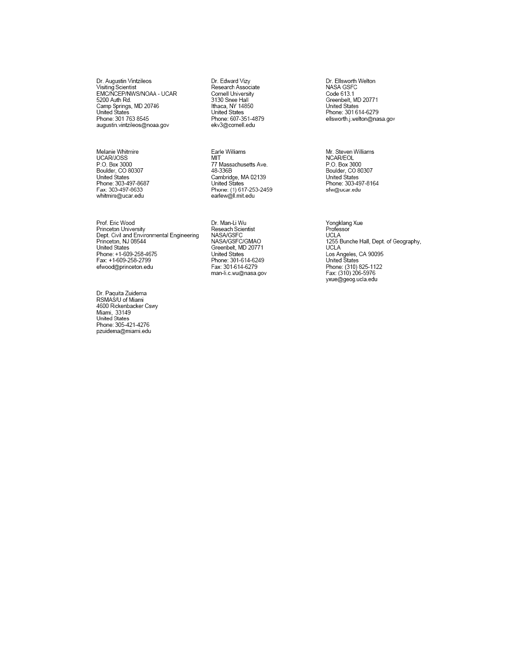Dr. Augustin Vintzileos<br>Visiting Scientist<br>EMC/NCEP/NWS/NOAA - UCAR 5200 Auth Rd. S200 Addit Rd.<br>Camp Springs, MD 20746<br>United States Phone: 301 763 8545 augustin.vintzileos@noaa.gov

Melanie Whitmire<br>UCAR/JOSS<br>P.O. Box 3000<br>Boulder, CO 80307<br>United States<br>Phone: 303-497-8687 Fax: 303-497-8633 whitmire@ucar.edu

Prof. Eric Wood Princeton University Dept. Civil and Environmental Engineering Princeton, NJ 08544<br>United States<br>Phone: +1-609-258-4675 Fax: +1-609-258-2799 efwood@princeton.edu

Dr. Paquita Zuidema<br>RSMAS/U of Miami 4600 Rickenbacker Cswy Miami, 33149<br>United States<br>Phone: 305-421-4276 pzuidema@miami.edu

Dr. Edward Vizy<br>Research Associate<br>Cornell University<br>3130 Snee Hall Ithaca, NY 14850 United States Phone: 607-351-4879 ekv3@cornell.edu

Earle Williams MIT .....<br>77 Massachusetts Ave.<br>48-336B Cambridge, MA 02139<br>United States Phone: (1) 617-253-2459<br>earlew@ll.mit.edu

Dr. Man-Li Wu<br>Reseach Scientist NASA/GSFC NASA/GSFC/GMAO<br>Greenbelt, MD 20771<br>United States<br>Phone: 301-614-6249 Fax: 301-614-6279 man-li.c.wu@nasa.gov Dr. Ellsworth Welton<br>NASA GSFC<br>Code 613.1<br>Greenbelt, MD 20771 United States Phone: 301 614-6279 ellsworth.j.welton@nasa.gov

Mr. Steven Williams<br>NCAR/EOL<br>P.O. Box 3000<br>Boulder, CO 80307<br>United States<br>Phone: 303-497-8164 sfw@ucar.edu

Yongklang Xue<br>Professor **UCLA** UCLA<br>1255 Bunche Hall, Dept. of Geography,<br>UCLA<br>Los Angeles, CA 90095<br>United States<br>Phone: (310) 825-1122<br>Fax: (310) 206-5976 yxue@geog.ucla.edu